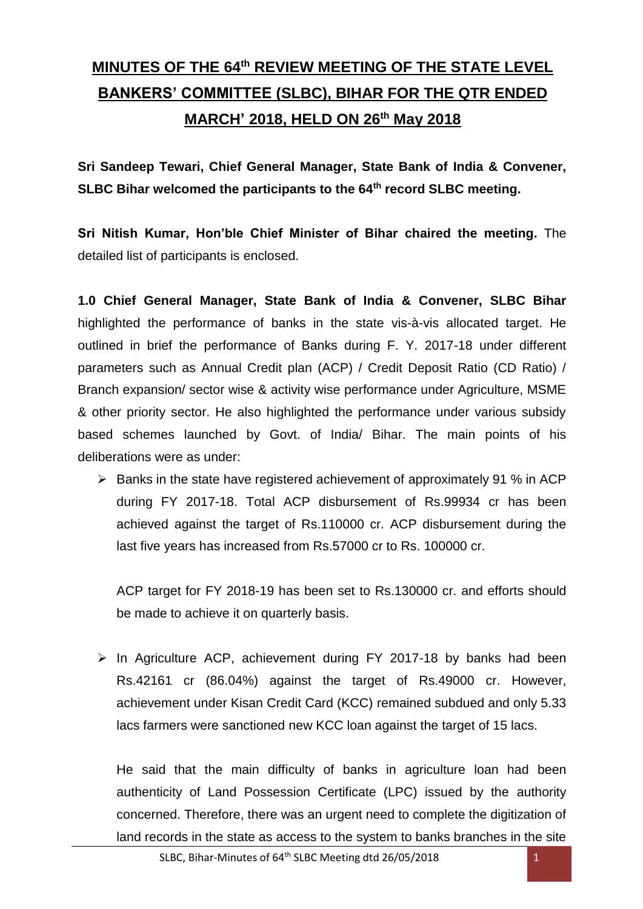# **MINUTES OF THE 64 th REVIEW MEETING OF THE STATE LEVEL BANKERS' COMMITTEE (SLBC), BIHAR FOR THE QTR ENDED MARCH' 2018, HELD ON 26 th May 2018**

**Sri Sandeep Tewari, Chief General Manager, State Bank of India & Convener, SLBC Bihar welcomed the participants to the 64th record SLBC meeting.**

**Sri Nitish Kumar, Hon'ble Chief Minister of Bihar chaired the meeting.** The detailed list of participants is enclosed.

**1.0 Chief General Manager, State Bank of India & Convener, SLBC Bihar** highlighted the performance of banks in the state vis-à-vis allocated target. He outlined in brief the performance of Banks during F. Y. 2017-18 under different parameters such as Annual Credit plan (ACP) / Credit Deposit Ratio (CD Ratio) / Branch expansion/ sector wise & activity wise performance under Agriculture, MSME & other priority sector. He also highlighted the performance under various subsidy based schemes launched by Govt. of India/ Bihar. The main points of his deliberations were as under:

 $\triangleright$  Banks in the state have registered achievement of approximately 91 % in ACP during FY 2017-18. Total ACP disbursement of Rs.99934 cr has been achieved against the target of Rs.110000 cr. ACP disbursement during the last five years has increased from Rs.57000 cr to Rs. 100000 cr.

ACP target for FY 2018-19 has been set to Rs.130000 cr. and efforts should be made to achieve it on quarterly basis.

 $\triangleright$  In Agriculture ACP, achievement during FY 2017-18 by banks had been Rs.42161 cr (86.04%) against the target of Rs.49000 cr. However, achievement under Kisan Credit Card (KCC) remained subdued and only 5.33 lacs farmers were sanctioned new KCC loan against the target of 15 lacs.

He said that the main difficulty of banks in agriculture loan had been authenticity of Land Possession Certificate (LPC) issued by the authority concerned. Therefore, there was an urgent need to complete the digitization of land records in the state as access to the system to banks branches in the site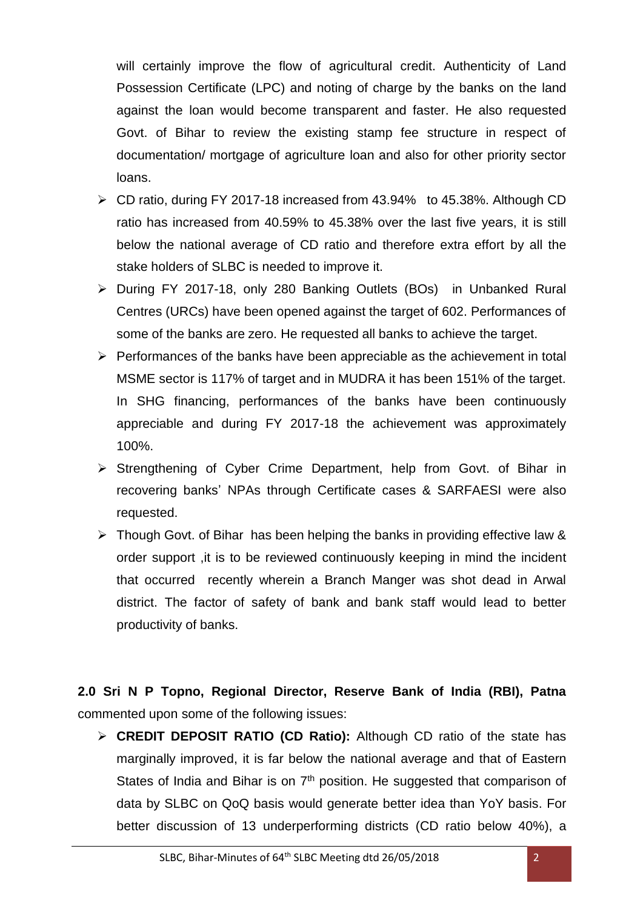will certainly improve the flow of agricultural credit. Authenticity of Land Possession Certificate (LPC) and noting of charge by the banks on the land against the loan would become transparent and faster. He also requested Govt. of Bihar to review the existing stamp fee structure in respect of documentation/ mortgage of agriculture loan and also for other priority sector loans.

- CD ratio, during FY 2017-18 increased from 43.94% to 45.38%. Although CD ratio has increased from 40.59% to 45.38% over the last five years, it is still below the national average of CD ratio and therefore extra effort by all the stake holders of SLBC is needed to improve it.
- During FY 2017-18, only 280 Banking Outlets (BOs) in Unbanked Rural Centres (URCs) have been opened against the target of 602. Performances of some of the banks are zero. He requested all banks to achieve the target.
- $\triangleright$  Performances of the banks have been appreciable as the achievement in total MSME sector is 117% of target and in MUDRA it has been 151% of the target. In SHG financing, performances of the banks have been continuously appreciable and during FY 2017-18 the achievement was approximately 100%.
- $\triangleright$  Strengthening of Cyber Crime Department, help from Govt. of Bihar in recovering banks' NPAs through Certificate cases & SARFAESI were also requested.
- $\triangleright$  Though Govt. of Bihar has been helping the banks in providing effective law & order support ,it is to be reviewed continuously keeping in mind the incident that occurred recently wherein a Branch Manger was shot dead in Arwal district. The factor of safety of bank and bank staff would lead to better productivity of banks.

**2.0 Sri N P Topno, Regional Director, Reserve Bank of India (RBI), Patna**  commented upon some of the following issues:

 **CREDIT DEPOSIT RATIO (CD Ratio):** Although CD ratio of the state has marginally improved, it is far below the national average and that of Eastern States of India and Bihar is on  $7<sup>th</sup>$  position. He suggested that comparison of data by SLBC on QoQ basis would generate better idea than YoY basis. For better discussion of 13 underperforming districts (CD ratio below 40%), a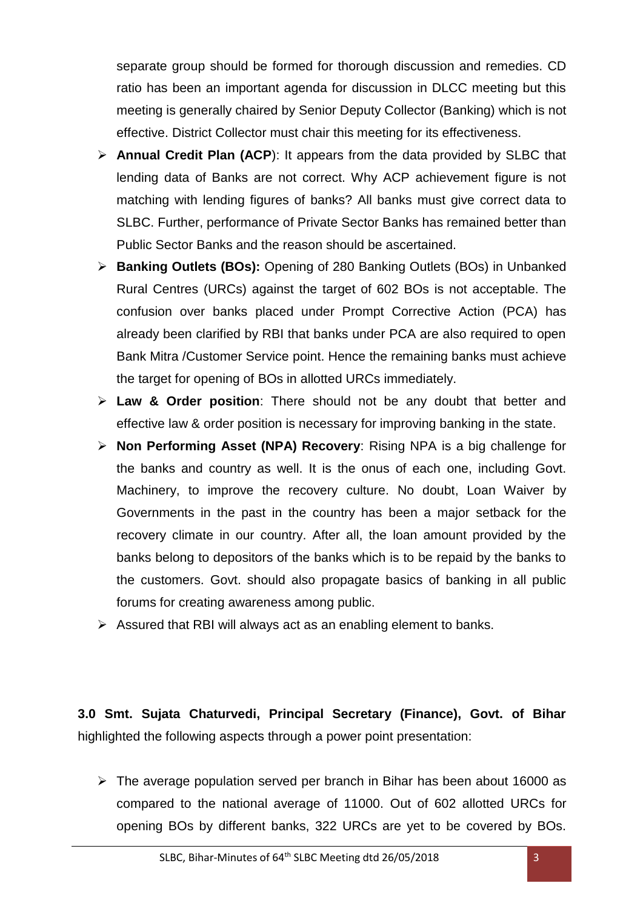separate group should be formed for thorough discussion and remedies. CD ratio has been an important agenda for discussion in DLCC meeting but this meeting is generally chaired by Senior Deputy Collector (Banking) which is not effective. District Collector must chair this meeting for its effectiveness.

- **Annual Credit Plan (ACP**): It appears from the data provided by SLBC that lending data of Banks are not correct. Why ACP achievement figure is not matching with lending figures of banks? All banks must give correct data to SLBC. Further, performance of Private Sector Banks has remained better than Public Sector Banks and the reason should be ascertained.
- **Banking Outlets (BOs):** Opening of 280 Banking Outlets (BOs) in Unbanked Rural Centres (URCs) against the target of 602 BOs is not acceptable. The confusion over banks placed under Prompt Corrective Action (PCA) has already been clarified by RBI that banks under PCA are also required to open Bank Mitra /Customer Service point. Hence the remaining banks must achieve the target for opening of BOs in allotted URCs immediately.
- **Law & Order position**: There should not be any doubt that better and effective law & order position is necessary for improving banking in the state.
- **Non Performing Asset (NPA) Recovery**: Rising NPA is a big challenge for the banks and country as well. It is the onus of each one, including Govt. Machinery, to improve the recovery culture. No doubt, Loan Waiver by Governments in the past in the country has been a major setback for the recovery climate in our country. After all, the loan amount provided by the banks belong to depositors of the banks which is to be repaid by the banks to the customers. Govt. should also propagate basics of banking in all public forums for creating awareness among public.
- $\triangleright$  Assured that RBI will always act as an enabling element to banks.

**3.0 Smt. Sujata Chaturvedi, Principal Secretary (Finance), Govt. of Bihar** highlighted the following aspects through a power point presentation:

 $\triangleright$  The average population served per branch in Bihar has been about 16000 as compared to the national average of 11000. Out of 602 allotted URCs for opening BOs by different banks, 322 URCs are yet to be covered by BOs.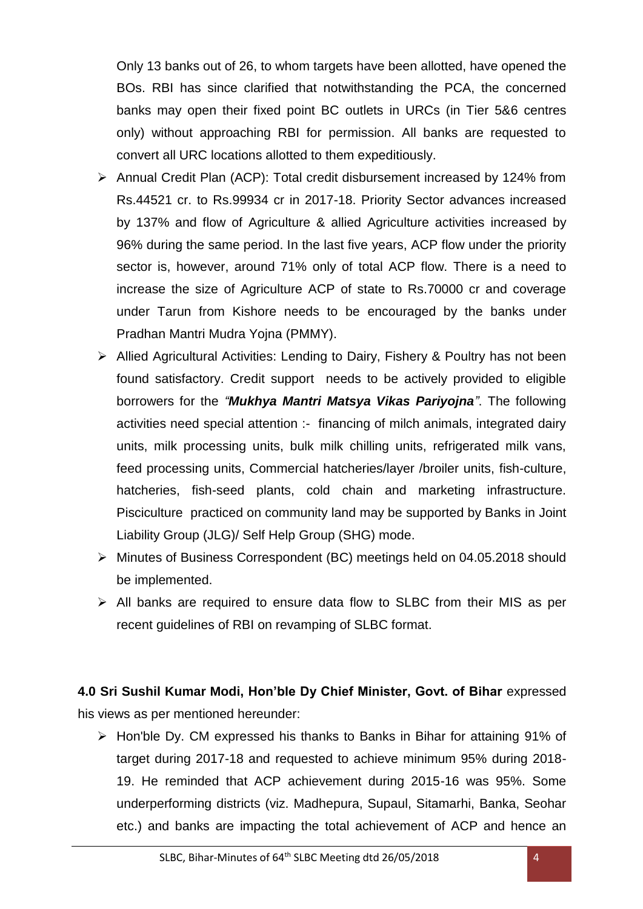Only 13 banks out of 26, to whom targets have been allotted, have opened the BOs. RBI has since clarified that notwithstanding the PCA, the concerned banks may open their fixed point BC outlets in URCs (in Tier 5&6 centres only) without approaching RBI for permission. All banks are requested to convert all URC locations allotted to them expeditiously.

- Annual Credit Plan (ACP): Total credit disbursement increased by 124% from Rs.44521 cr. to Rs.99934 cr in 2017-18. Priority Sector advances increased by 137% and flow of Agriculture & allied Agriculture activities increased by 96% during the same period. In the last five years, ACP flow under the priority sector is, however, around 71% only of total ACP flow. There is a need to increase the size of Agriculture ACP of state to Rs.70000 cr and coverage under Tarun from Kishore needs to be encouraged by the banks under Pradhan Mantri Mudra Yojna (PMMY).
- Allied Agricultural Activities: Lending to Dairy, Fishery & Poultry has not been found satisfactory. Credit support needs to be actively provided to eligible borrowers for the *"Mukhya Mantri Matsya Vikas Pariyojna"*. The following activities need special attention :- financing of milch animals, integrated dairy units, milk processing units, bulk milk chilling units, refrigerated milk vans, feed processing units, Commercial hatcheries/layer /broiler units, fish-culture, hatcheries, fish-seed plants, cold chain and marketing infrastructure. Pisciculture practiced on community land may be supported by Banks in Joint Liability Group (JLG)/ Self Help Group (SHG) mode.
- Minutes of Business Correspondent (BC) meetings held on 04.05.2018 should be implemented.
- $\triangleright$  All banks are required to ensure data flow to SLBC from their MIS as per recent guidelines of RBI on revamping of SLBC format.

## **4.0 Sri Sushil Kumar Modi, Hon'ble Dy Chief Minister, Govt. of Bihar** expressed his views as per mentioned hereunder:

 $\triangleright$  Hon'ble Dy. CM expressed his thanks to Banks in Bihar for attaining 91% of target during 2017-18 and requested to achieve minimum 95% during 2018- 19. He reminded that ACP achievement during 2015-16 was 95%. Some underperforming districts (viz. Madhepura, Supaul, Sitamarhi, Banka, Seohar etc.) and banks are impacting the total achievement of ACP and hence an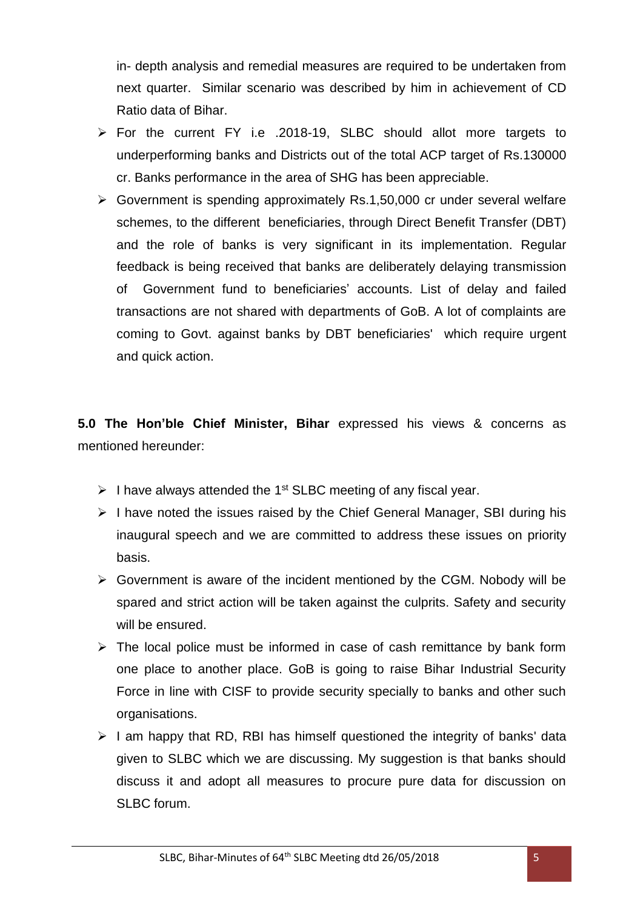in- depth analysis and remedial measures are required to be undertaken from next quarter. Similar scenario was described by him in achievement of CD Ratio data of Bihar.

- For the current FY i.e .2018-19, SLBC should allot more targets to underperforming banks and Districts out of the total ACP target of Rs.130000 cr. Banks performance in the area of SHG has been appreciable.
- $\triangleright$  Government is spending approximately Rs.1,50,000 cr under several welfare schemes, to the different beneficiaries, through Direct Benefit Transfer (DBT) and the role of banks is very significant in its implementation. Regular feedback is being received that banks are deliberately delaying transmission of Government fund to beneficiaries' accounts. List of delay and failed transactions are not shared with departments of GoB. A lot of complaints are coming to Govt. against banks by DBT beneficiaries' which require urgent and quick action.

**5.0 The Hon'ble Chief Minister, Bihar** expressed his views & concerns as mentioned hereunder:

- $\triangleright$  I have always attended the 1<sup>st</sup> SLBC meeting of any fiscal year.
- $\triangleright$  I have noted the issues raised by the Chief General Manager, SBI during his inaugural speech and we are committed to address these issues on priority basis.
- $\triangleright$  Government is aware of the incident mentioned by the CGM. Nobody will be spared and strict action will be taken against the culprits. Safety and security will be ensured.
- $\triangleright$  The local police must be informed in case of cash remittance by bank form one place to another place. GoB is going to raise Bihar Industrial Security Force in line with CISF to provide security specially to banks and other such organisations.
- $\triangleright$  I am happy that RD, RBI has himself questioned the integrity of banks' data given to SLBC which we are discussing. My suggestion is that banks should discuss it and adopt all measures to procure pure data for discussion on SLBC forum.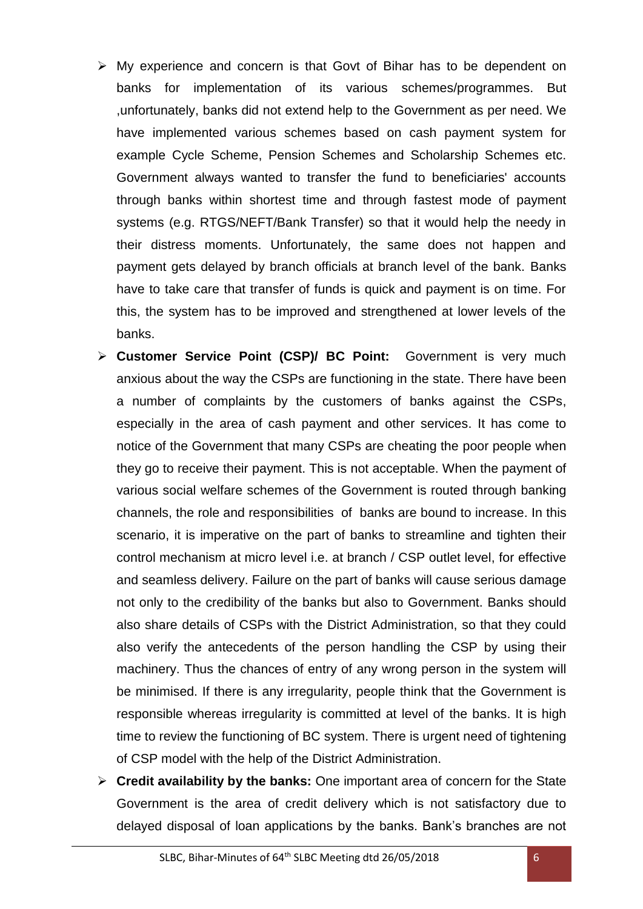- My experience and concern is that Govt of Bihar has to be dependent on banks for implementation of its various schemes/programmes. But ,unfortunately, banks did not extend help to the Government as per need. We have implemented various schemes based on cash payment system for example Cycle Scheme, Pension Schemes and Scholarship Schemes etc. Government always wanted to transfer the fund to beneficiaries' accounts through banks within shortest time and through fastest mode of payment systems (e.g. RTGS/NEFT/Bank Transfer) so that it would help the needy in their distress moments. Unfortunately, the same does not happen and payment gets delayed by branch officials at branch level of the bank. Banks have to take care that transfer of funds is quick and payment is on time. For this, the system has to be improved and strengthened at lower levels of the banks.
- **Customer Service Point (CSP)/ BC Point:** Government is very much anxious about the way the CSPs are functioning in the state. There have been a number of complaints by the customers of banks against the CSPs, especially in the area of cash payment and other services. It has come to notice of the Government that many CSPs are cheating the poor people when they go to receive their payment. This is not acceptable. When the payment of various social welfare schemes of the Government is routed through banking channels, the role and responsibilities of banks are bound to increase. In this scenario, it is imperative on the part of banks to streamline and tighten their control mechanism at micro level i.e. at branch / CSP outlet level, for effective and seamless delivery. Failure on the part of banks will cause serious damage not only to the credibility of the banks but also to Government. Banks should also share details of CSPs with the District Administration, so that they could also verify the antecedents of the person handling the CSP by using their machinery. Thus the chances of entry of any wrong person in the system will be minimised. If there is any irregularity, people think that the Government is responsible whereas irregularity is committed at level of the banks. It is high time to review the functioning of BC system. There is urgent need of tightening of CSP model with the help of the District Administration.
- **Credit availability by the banks:** One important area of concern for the State Government is the area of credit delivery which is not satisfactory due to delayed disposal of loan applications by the banks. Bank's branches are not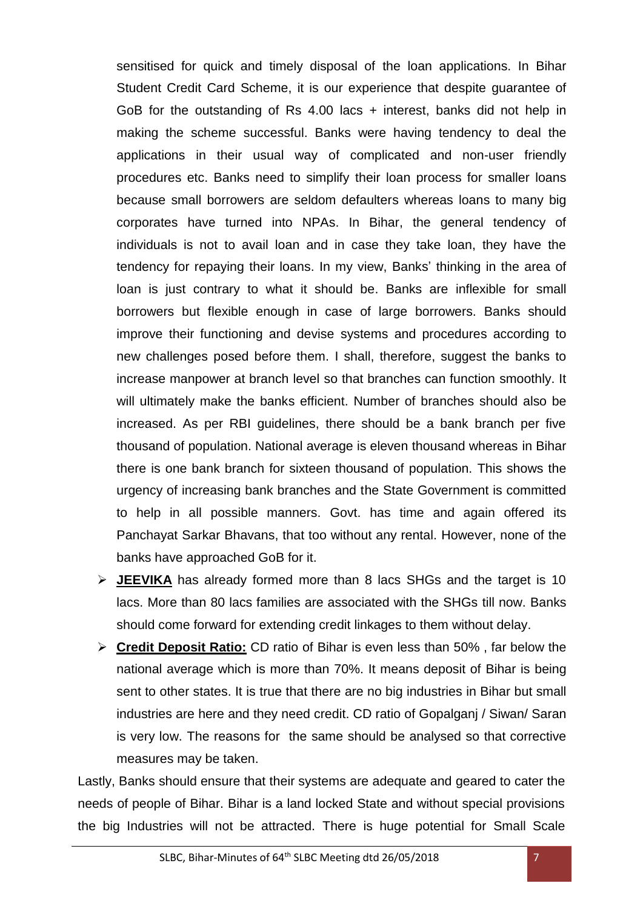sensitised for quick and timely disposal of the loan applications. In Bihar Student Credit Card Scheme, it is our experience that despite guarantee of GoB for the outstanding of Rs 4.00 lacs + interest, banks did not help in making the scheme successful. Banks were having tendency to deal the applications in their usual way of complicated and non-user friendly procedures etc. Banks need to simplify their loan process for smaller loans because small borrowers are seldom defaulters whereas loans to many big corporates have turned into NPAs. In Bihar, the general tendency of individuals is not to avail loan and in case they take loan, they have the tendency for repaying their loans. In my view, Banks' thinking in the area of loan is just contrary to what it should be. Banks are inflexible for small borrowers but flexible enough in case of large borrowers. Banks should improve their functioning and devise systems and procedures according to new challenges posed before them. I shall, therefore, suggest the banks to increase manpower at branch level so that branches can function smoothly. It will ultimately make the banks efficient. Number of branches should also be increased. As per RBI guidelines, there should be a bank branch per five thousand of population. National average is eleven thousand whereas in Bihar there is one bank branch for sixteen thousand of population. This shows the urgency of increasing bank branches and the State Government is committed to help in all possible manners. Govt. has time and again offered its Panchayat Sarkar Bhavans, that too without any rental. However, none of the banks have approached GoB for it.

- **JEEVIKA** has already formed more than 8 lacs SHGs and the target is 10 lacs. More than 80 lacs families are associated with the SHGs till now. Banks should come forward for extending credit linkages to them without delay.
- **Credit Deposit Ratio:** CD ratio of Bihar is even less than 50% , far below the national average which is more than 70%. It means deposit of Bihar is being sent to other states. It is true that there are no big industries in Bihar but small industries are here and they need credit. CD ratio of Gopalganj / Siwan/ Saran is very low. The reasons for the same should be analysed so that corrective measures may be taken.

Lastly, Banks should ensure that their systems are adequate and geared to cater the needs of people of Bihar. Bihar is a land locked State and without special provisions the big Industries will not be attracted. There is huge potential for Small Scale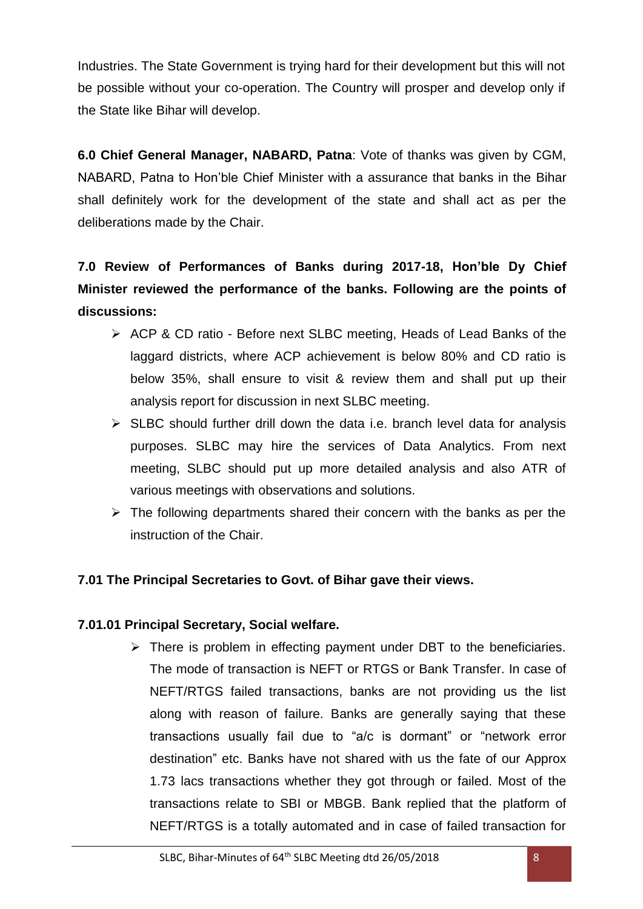Industries. The State Government is trying hard for their development but this will not be possible without your co-operation. The Country will prosper and develop only if the State like Bihar will develop.

**6.0 Chief General Manager, NABARD, Patna**: Vote of thanks was given by CGM, NABARD, Patna to Hon'ble Chief Minister with a assurance that banks in the Bihar shall definitely work for the development of the state and shall act as per the deliberations made by the Chair.

**7.0 Review of Performances of Banks during 2017-18, Hon'ble Dy Chief Minister reviewed the performance of the banks. Following are the points of discussions:**

- ACP & CD ratio Before next SLBC meeting, Heads of Lead Banks of the laggard districts, where ACP achievement is below 80% and CD ratio is below 35%, shall ensure to visit & review them and shall put up their analysis report for discussion in next SLBC meeting.
- $\triangleright$  SLBC should further drill down the data i.e. branch level data for analysis purposes. SLBC may hire the services of Data Analytics. From next meeting, SLBC should put up more detailed analysis and also ATR of various meetings with observations and solutions.
- $\triangleright$  The following departments shared their concern with the banks as per the instruction of the Chair.

## **7.01 The Principal Secretaries to Govt. of Bihar gave their views.**

### **7.01.01 Principal Secretary, Social welfare.**

 $\triangleright$  There is problem in effecting payment under DBT to the beneficiaries. The mode of transaction is NEFT or RTGS or Bank Transfer. In case of NEFT/RTGS failed transactions, banks are not providing us the list along with reason of failure. Banks are generally saying that these transactions usually fail due to "a/c is dormant" or "network error destination" etc. Banks have not shared with us the fate of our Approx 1.73 lacs transactions whether they got through or failed. Most of the transactions relate to SBI or MBGB. Bank replied that the platform of NEFT/RTGS is a totally automated and in case of failed transaction for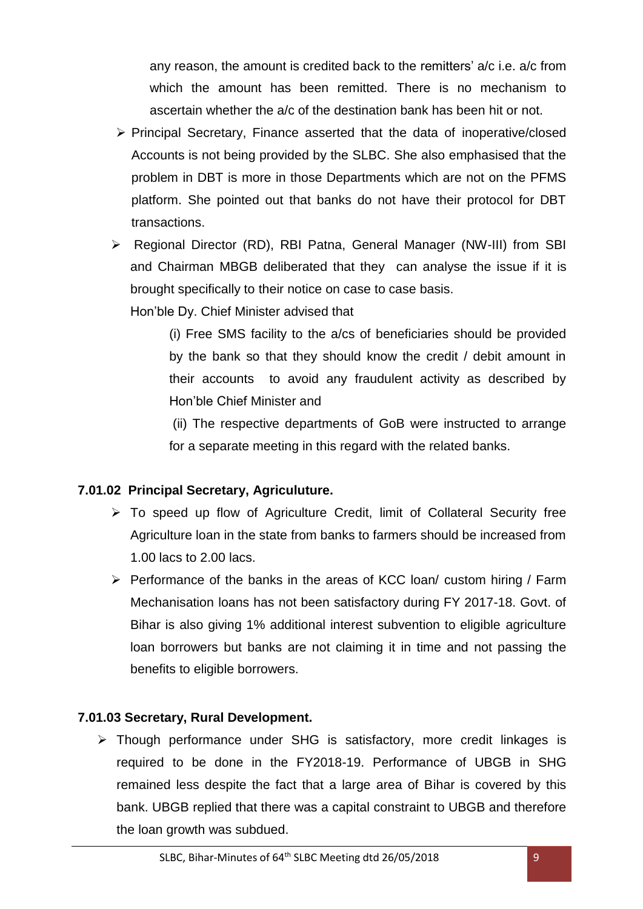any reason, the amount is credited back to the remitters' a/c i.e. a/c from which the amount has been remitted. There is no mechanism to ascertain whether the a/c of the destination bank has been hit or not.

- $\triangleright$  Principal Secretary, Finance asserted that the data of inoperative/closed Accounts is not being provided by the SLBC. She also emphasised that the problem in DBT is more in those Departments which are not on the PFMS platform. She pointed out that banks do not have their protocol for DBT transactions.
- Regional Director (RD), RBI Patna, General Manager (NW-III) from SBI and Chairman MBGB deliberated that they can analyse the issue if it is brought specifically to their notice on case to case basis.

Hon'ble Dy. Chief Minister advised that

(i) Free SMS facility to the a/cs of beneficiaries should be provided by the bank so that they should know the credit / debit amount in their accounts to avoid any fraudulent activity as described by Hon'ble Chief Minister and

(ii) The respective departments of GoB were instructed to arrange for a separate meeting in this regard with the related banks.

### **7.01.02 Principal Secretary, Agriculuture.**

- $\triangleright$  To speed up flow of Agriculture Credit, limit of Collateral Security free Agriculture loan in the state from banks to farmers should be increased from 1.00 lacs to 2.00 lacs.
- $\triangleright$  Performance of the banks in the areas of KCC loan/ custom hiring / Farm Mechanisation loans has not been satisfactory during FY 2017-18. Govt. of Bihar is also giving 1% additional interest subvention to eligible agriculture loan borrowers but banks are not claiming it in time and not passing the benefits to eligible borrowers.

### **7.01.03 Secretary, Rural Development.**

 $\triangleright$  Though performance under SHG is satisfactory, more credit linkages is required to be done in the FY2018-19. Performance of UBGB in SHG remained less despite the fact that a large area of Bihar is covered by this bank. UBGB replied that there was a capital constraint to UBGB and therefore the loan growth was subdued.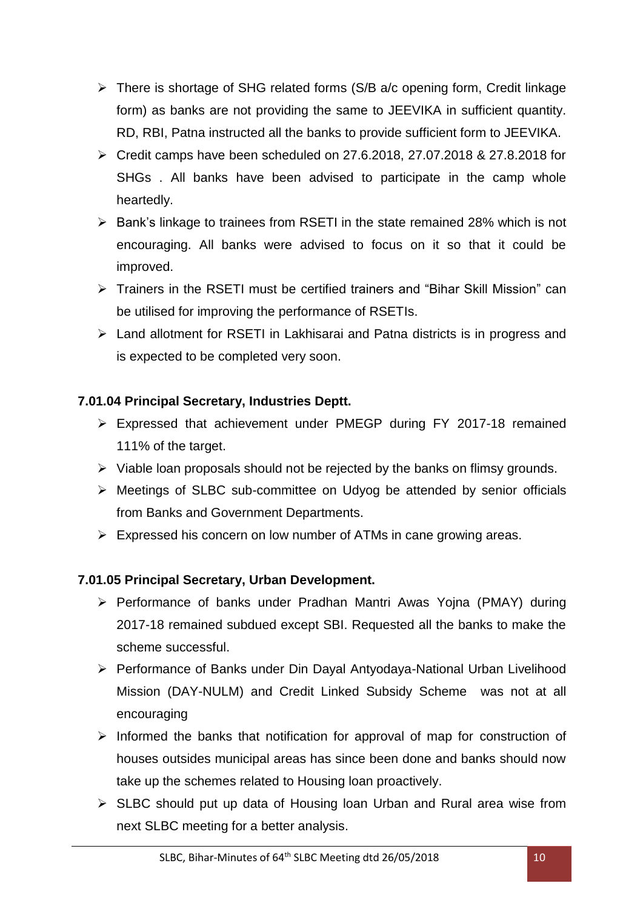- There is shortage of SHG related forms (S/B a/c opening form, Credit linkage form) as banks are not providing the same to JEEVIKA in sufficient quantity. RD, RBI, Patna instructed all the banks to provide sufficient form to JEEVIKA.
- $\triangleright$  Credit camps have been scheduled on 27.6.2018, 27.07.2018 & 27.8.2018 for SHGs . All banks have been advised to participate in the camp whole heartedly.
- $\triangleright$  Bank's linkage to trainees from RSETI in the state remained 28% which is not encouraging. All banks were advised to focus on it so that it could be improved.
- Trainers in the RSETI must be certified trainers and "Bihar Skill Mission" can be utilised for improving the performance of RSETIs.
- Land allotment for RSETI in Lakhisarai and Patna districts is in progress and is expected to be completed very soon.

## **7.01.04 Principal Secretary, Industries Deptt.**

- Expressed that achievement under PMEGP during FY 2017-18 remained 111% of the target.
- $\triangleright$  Viable loan proposals should not be rejected by the banks on flimsy grounds.
- $\triangleright$  Meetings of SLBC sub-committee on Udyog be attended by senior officials from Banks and Government Departments.
- $\triangleright$  Expressed his concern on low number of ATMs in cane growing areas.

### **7.01.05 Principal Secretary, Urban Development.**

- Performance of banks under Pradhan Mantri Awas Yojna (PMAY) during 2017-18 remained subdued except SBI. Requested all the banks to make the scheme successful.
- Performance of Banks under Din Dayal Antyodaya-National Urban Livelihood Mission (DAY-NULM) and Credit Linked Subsidy Scheme was not at all encouraging
- $\triangleright$  Informed the banks that notification for approval of map for construction of houses outsides municipal areas has since been done and banks should now take up the schemes related to Housing loan proactively.
- $\triangleright$  SLBC should put up data of Housing loan Urban and Rural area wise from next SLBC meeting for a better analysis.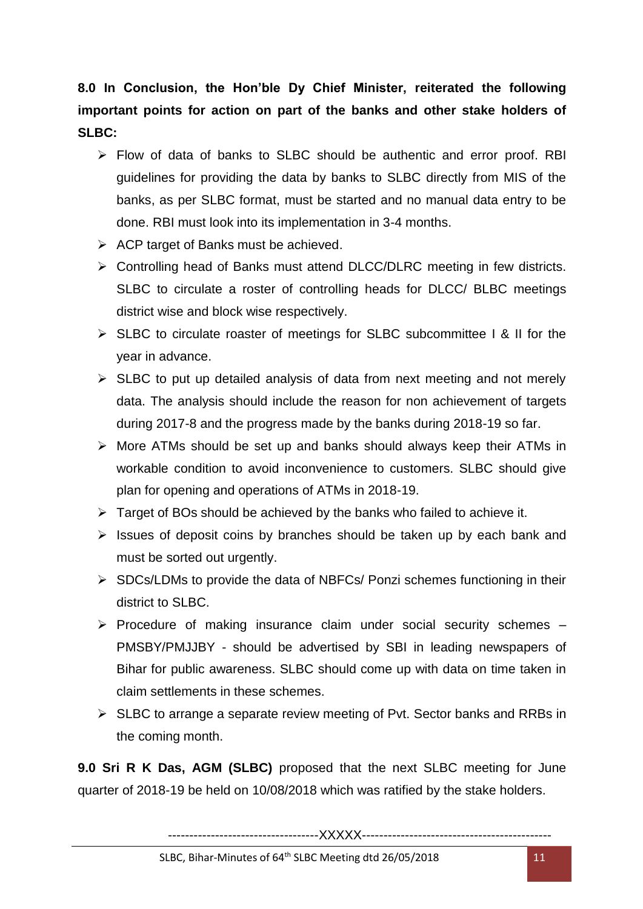**8.0 In Conclusion, the Hon'ble Dy Chief Minister, reiterated the following important points for action on part of the banks and other stake holders of SLBC:**

- $\triangleright$  Flow of data of banks to SLBC should be authentic and error proof. RBI guidelines for providing the data by banks to SLBC directly from MIS of the banks, as per SLBC format, must be started and no manual data entry to be done. RBI must look into its implementation in 3-4 months.
- $\triangleright$  ACP target of Banks must be achieved.
- ▶ Controlling head of Banks must attend DLCC/DLRC meeting in few districts. SLBC to circulate a roster of controlling heads for DLCC/ BLBC meetings district wise and block wise respectively.
- $\triangleright$  SLBC to circulate roaster of meetings for SLBC subcommittee I & II for the year in advance.
- $\triangleright$  SLBC to put up detailed analysis of data from next meeting and not merely data. The analysis should include the reason for non achievement of targets during 2017-8 and the progress made by the banks during 2018-19 so far.
- $\triangleright$  More ATMs should be set up and banks should always keep their ATMs in workable condition to avoid inconvenience to customers. SLBC should give plan for opening and operations of ATMs in 2018-19.
- $\triangleright$  Target of BOs should be achieved by the banks who failed to achieve it.
- $\triangleright$  Issues of deposit coins by branches should be taken up by each bank and must be sorted out urgently.
- $\triangleright$  SDCs/LDMs to provide the data of NBFCs/ Ponzi schemes functioning in their district to SLBC.
- $\triangleright$  Procedure of making insurance claim under social security schemes  $-$ PMSBY/PMJJBY - should be advertised by SBI in leading newspapers of Bihar for public awareness. SLBC should come up with data on time taken in claim settlements in these schemes.
- $\triangleright$  SLBC to arrange a separate review meeting of Pvt. Sector banks and RRBs in the coming month.

**9.0 Sri R K Das, AGM (SLBC)** proposed that the next SLBC meeting for June quarter of 2018-19 be held on 10/08/2018 which was ratified by the stake holders.

-----------------------------------XXXXX--------------------------------------------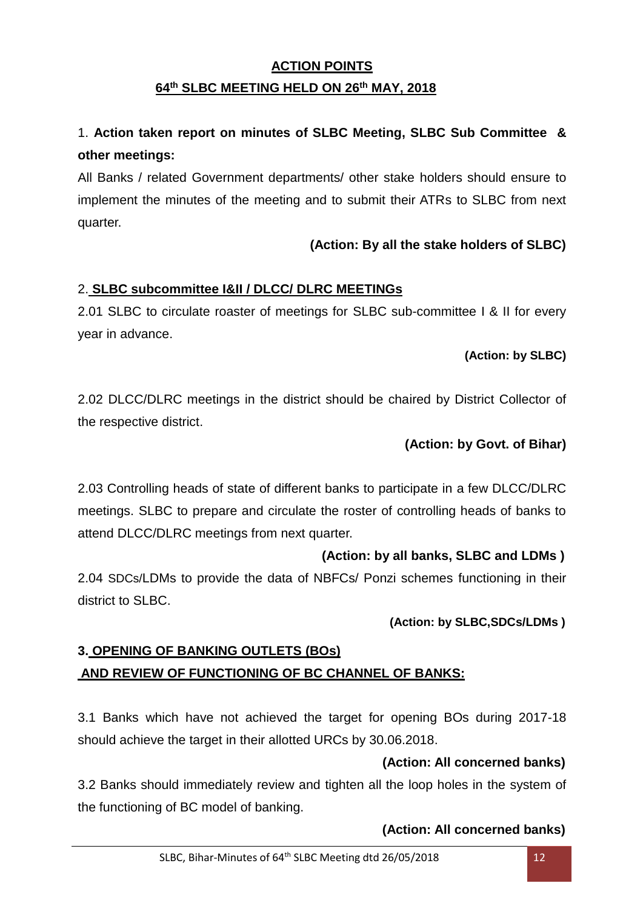## **ACTION POINTS 64 th SLBC MEETING HELD ON 26 th MAY, 2018**

## 1. **Action taken report on minutes of SLBC Meeting, SLBC Sub Committee & other meetings:**

All Banks / related Government departments/ other stake holders should ensure to implement the minutes of the meeting and to submit their ATRs to SLBC from next quarter.

## **(Action: By all the stake holders of SLBC)**

## 2. **SLBC subcommittee I&II / DLCC/ DLRC MEETINGs**

2.01 SLBC to circulate roaster of meetings for SLBC sub-committee I & II for every year in advance.

## **(Action: by SLBC)**

2.02 DLCC/DLRC meetings in the district should be chaired by District Collector of the respective district.

## **(Action: by Govt. of Bihar)**

2.03 Controlling heads of state of different banks to participate in a few DLCC/DLRC meetings. SLBC to prepare and circulate the roster of controlling heads of banks to attend DLCC/DLRC meetings from next quarter.

## **(Action: by all banks, SLBC and LDMs )**

2.04 SDCs/LDMs to provide the data of NBFCs/ Ponzi schemes functioning in their district to SLBC.

### **(Action: by SLBC,SDCs/LDMs )**

## **3. OPENING OF BANKING OUTLETS (BOs) AND REVIEW OF FUNCTIONING OF BC CHANNEL OF BANKS:**

3.1 Banks which have not achieved the target for opening BOs during 2017-18 should achieve the target in their allotted URCs by 30.06.2018.

## **(Action: All concerned banks)**

3.2 Banks should immediately review and tighten all the loop holes in the system of the functioning of BC model of banking.

### **(Action: All concerned banks)**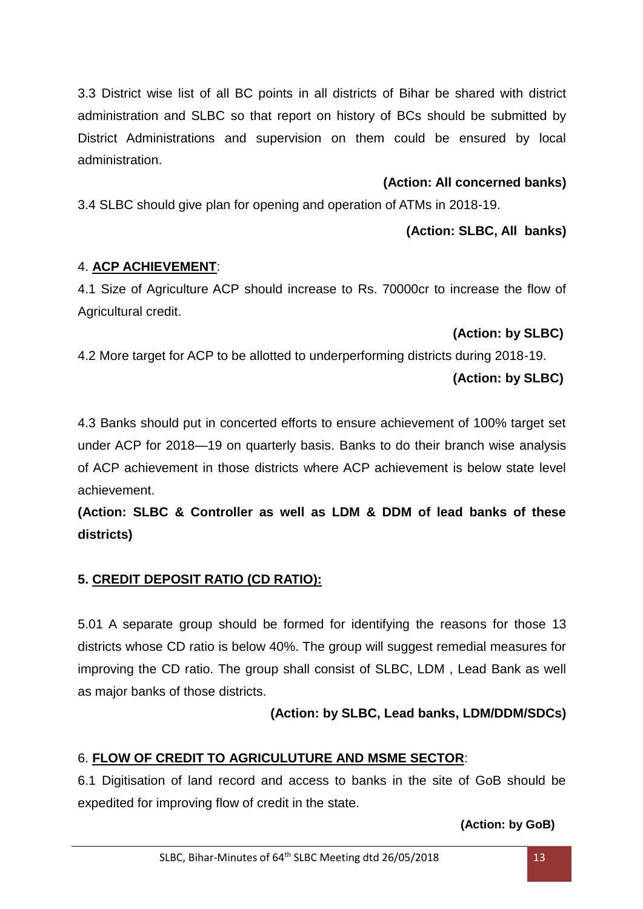3.3 District wise list of all BC points in all districts of Bihar be shared with district administration and SLBC so that report on history of BCs should be submitted by District Administrations and supervision on them could be ensured by local administration.

### **(Action: All concerned banks)**

3.4 SLBC should give plan for opening and operation of ATMs in 2018-19.

### **(Action: SLBC, All banks)**

### 4. **ACP ACHIEVEMENT**:

4.1 Size of Agriculture ACP should increase to Rs. 70000cr to increase the flow of Agricultural credit.

### **(Action: by SLBC)**

4.2 More target for ACP to be allotted to underperforming districts during 2018-19.

### **(Action: by SLBC)**

4.3 Banks should put in concerted efforts to ensure achievement of 100% target set under ACP for 2018—19 on quarterly basis. Banks to do their branch wise analysis of ACP achievement in those districts where ACP achievement is below state level achievement.

**(Action: SLBC & Controller as well as LDM & DDM of lead banks of these districts)**

## **5. CREDIT DEPOSIT RATIO (CD RATIO):**

5.01 A separate group should be formed for identifying the reasons for those 13 districts whose CD ratio is below 40%. The group will suggest remedial measures for improving the CD ratio. The group shall consist of SLBC, LDM , Lead Bank as well as major banks of those districts.

## **(Action: by SLBC, Lead banks, LDM/DDM/SDCs)**

## 6. **FLOW OF CREDIT TO AGRICULUTURE AND MSME SECTOR**:

6.1 Digitisation of land record and access to banks in the site of GoB should be expedited for improving flow of credit in the state.

 **(Action: by GoB)**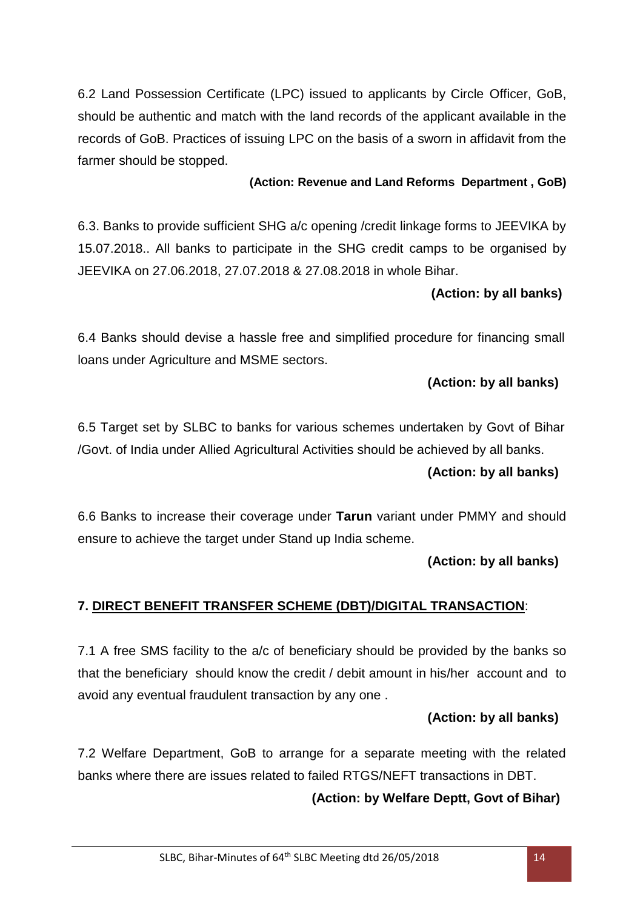6.2 Land Possession Certificate (LPC) issued to applicants by Circle Officer, GoB, should be authentic and match with the land records of the applicant available in the records of GoB. Practices of issuing LPC on the basis of a sworn in affidavit from the farmer should be stopped.

#### **(Action: Revenue and Land Reforms Department , GoB)**

6.3. Banks to provide sufficient SHG a/c opening /credit linkage forms to JEEVIKA by 15.07.2018.. All banks to participate in the SHG credit camps to be organised by JEEVIKA on 27.06.2018, 27.07.2018 & 27.08.2018 in whole Bihar.

### **(Action: by all banks)**

6.4 Banks should devise a hassle free and simplified procedure for financing small loans under Agriculture and MSME sectors.

## **(Action: by all banks)**

6.5 Target set by SLBC to banks for various schemes undertaken by Govt of Bihar /Govt. of India under Allied Agricultural Activities should be achieved by all banks. **(Action: by all banks)**

6.6 Banks to increase their coverage under **Tarun** variant under PMMY and should ensure to achieve the target under Stand up India scheme.

### **(Action: by all banks)**

## **7. DIRECT BENEFIT TRANSFER SCHEME (DBT)/DIGITAL TRANSACTION**:

7.1 A free SMS facility to the a/c of beneficiary should be provided by the banks so that the beneficiary should know the credit / debit amount in his/her account and to avoid any eventual fraudulent transaction by any one .

### **(Action: by all banks)**

7.2 Welfare Department, GoB to arrange for a separate meeting with the related banks where there are issues related to failed RTGS/NEFT transactions in DBT.

### **(Action: by Welfare Deptt, Govt of Bihar)**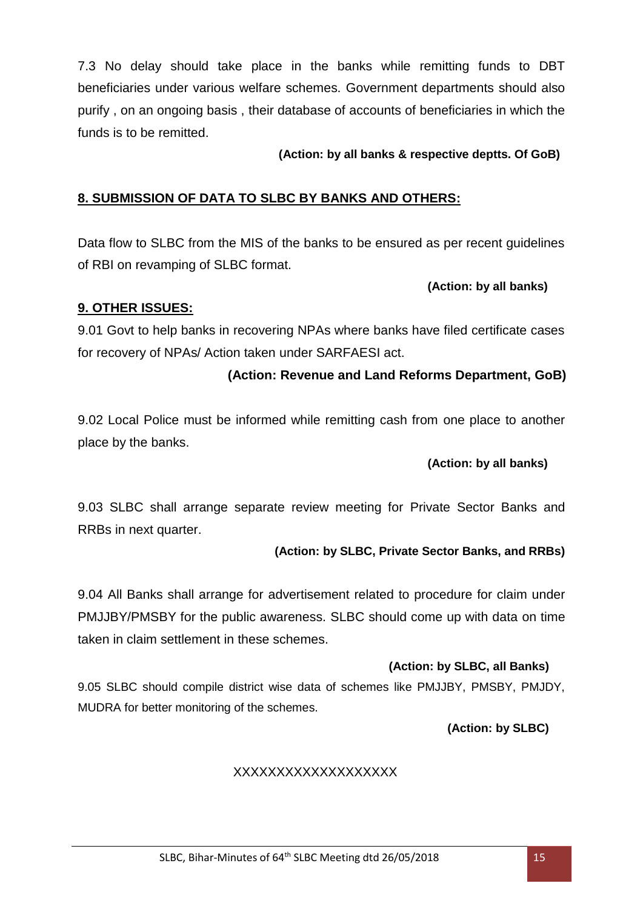7.3 No delay should take place in the banks while remitting funds to DBT beneficiaries under various welfare schemes. Government departments should also purify , on an ongoing basis , their database of accounts of beneficiaries in which the funds is to be remitted.

### **(Action: by all banks & respective deptts. Of GoB)**

## **8. SUBMISSION OF DATA TO SLBC BY BANKS AND OTHERS:**

Data flow to SLBC from the MIS of the banks to be ensured as per recent guidelines of RBI on revamping of SLBC format.

#### **(Action: by all banks)**

### **9. OTHER ISSUES:**

9.01 Govt to help banks in recovering NPAs where banks have filed certificate cases for recovery of NPAs/ Action taken under SARFAESI act.

## **(Action: Revenue and Land Reforms Department, GoB)**

9.02 Local Police must be informed while remitting cash from one place to another place by the banks.

### **(Action: by all banks)**

9.03 SLBC shall arrange separate review meeting for Private Sector Banks and RRBs in next quarter.

#### **(Action: by SLBC, Private Sector Banks, and RRBs)**

9.04 All Banks shall arrange for advertisement related to procedure for claim under PMJJBY/PMSBY for the public awareness. SLBC should come up with data on time taken in claim settlement in these schemes.

### **(Action: by SLBC, all Banks)**

9.05 SLBC should compile district wise data of schemes like PMJJBY, PMSBY, PMJDY, MUDRA for better monitoring of the schemes.

 **(Action: by SLBC)**

## XXXXXXXXXXXXXXXXXXX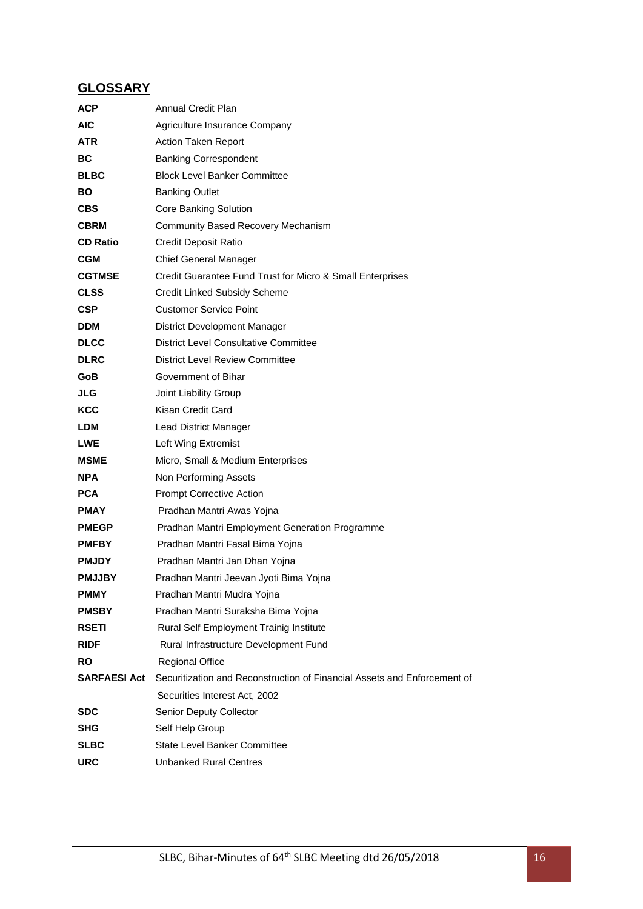## **GLOSSARY**

| Annual Credit Plan                                                       |  |  |
|--------------------------------------------------------------------------|--|--|
| Agriculture Insurance Company                                            |  |  |
| <b>Action Taken Report</b>                                               |  |  |
| <b>Banking Correspondent</b>                                             |  |  |
| <b>Block Level Banker Committee</b>                                      |  |  |
| <b>Banking Outlet</b>                                                    |  |  |
| <b>Core Banking Solution</b>                                             |  |  |
| Community Based Recovery Mechanism                                       |  |  |
| <b>Credit Deposit Ratio</b>                                              |  |  |
| <b>Chief General Manager</b>                                             |  |  |
| Credit Guarantee Fund Trust for Micro & Small Enterprises                |  |  |
| Credit Linked Subsidy Scheme                                             |  |  |
| <b>Customer Service Point</b>                                            |  |  |
| District Development Manager                                             |  |  |
| <b>District Level Consultative Committee</b>                             |  |  |
| <b>District Level Review Committee</b>                                   |  |  |
| Government of Bihar                                                      |  |  |
| Joint Liability Group                                                    |  |  |
| Kisan Credit Card                                                        |  |  |
| Lead District Manager                                                    |  |  |
| Left Wing Extremist                                                      |  |  |
| Micro, Small & Medium Enterprises                                        |  |  |
| Non Performing Assets                                                    |  |  |
| <b>Prompt Corrective Action</b>                                          |  |  |
| Pradhan Mantri Awas Yojna                                                |  |  |
| Pradhan Mantri Employment Generation Programme                           |  |  |
| Pradhan Mantri Fasal Bima Yojna                                          |  |  |
| Pradhan Mantri Jan Dhan Yojna                                            |  |  |
| Pradhan Mantri Jeevan Jyoti Bima Yojna                                   |  |  |
| Pradhan Mantri Mudra Yojna                                               |  |  |
| Pradhan Mantri Suraksha Bima Yojna                                       |  |  |
| Rural Self Employment Trainig Institute                                  |  |  |
| Rural Infrastructure Development Fund                                    |  |  |
| <b>Regional Office</b>                                                   |  |  |
| Securitization and Reconstruction of Financial Assets and Enforcement of |  |  |
| Securities Interest Act, 2002                                            |  |  |
| Senior Deputy Collector                                                  |  |  |
| Self Help Group                                                          |  |  |
| <b>State Level Banker Committee</b>                                      |  |  |
| Unbanked Rural Centres                                                   |  |  |
|                                                                          |  |  |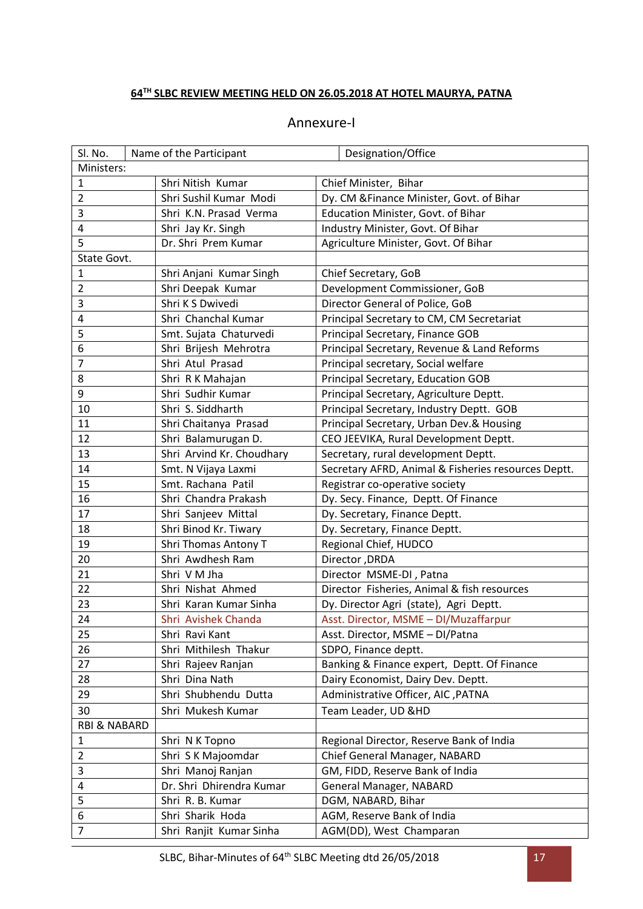## **TH SLBC REVIEW MEETING HELD ON 26.05.2018 AT HOTEL MAURYA, PATNA**

| Annexure-I |  |
|------------|--|
|------------|--|

| Sl. No.                 | Name of the Participant   | Designation/Office                                  |
|-------------------------|---------------------------|-----------------------------------------------------|
| Ministers:              |                           |                                                     |
| $\mathbf{1}$            | Shri Nitish Kumar         | Chief Minister, Bihar                               |
| $\overline{2}$          | Shri Sushil Kumar Modi    | Dy. CM & Finance Minister, Govt. of Bihar           |
| 3                       | Shri K.N. Prasad Verma    | Education Minister, Govt. of Bihar                  |
| 4                       | Shri Jay Kr. Singh        | Industry Minister, Govt. Of Bihar                   |
| 5                       | Dr. Shri Prem Kumar       | Agriculture Minister, Govt. Of Bihar                |
| State Govt.             |                           |                                                     |
| $\mathbf{1}$            | Shri Anjani Kumar Singh   | Chief Secretary, GoB                                |
| $\overline{2}$          | Shri Deepak Kumar         | Development Commissioner, GoB                       |
| 3                       | Shri K S Dwivedi          | Director General of Police, GoB                     |
| 4                       | Shri Chanchal Kumar       | Principal Secretary to CM, CM Secretariat           |
| 5                       | Smt. Sujata Chaturvedi    | Principal Secretary, Finance GOB                    |
| 6                       | Shri Brijesh Mehrotra     | Principal Secretary, Revenue & Land Reforms         |
| $\overline{7}$          | Shri Atul Prasad          | Principal secretary, Social welfare                 |
| 8                       | Shri R K Mahajan          | Principal Secretary, Education GOB                  |
| 9                       | Shri Sudhir Kumar         | Principal Secretary, Agriculture Deptt.             |
| 10                      | Shri S. Siddharth         | Principal Secretary, Industry Deptt. GOB            |
| 11                      | Shri Chaitanya Prasad     | Principal Secretary, Urban Dev.& Housing            |
| 12                      | Shri Balamurugan D.       | CEO JEEVIKA, Rural Development Deptt.               |
| 13                      | Shri Arvind Kr. Choudhary | Secretary, rural development Deptt.                 |
| 14                      | Smt. N Vijaya Laxmi       | Secretary AFRD, Animal & Fisheries resources Deptt. |
| 15                      | Smt. Rachana Patil        | Registrar co-operative society                      |
| 16                      | Shri Chandra Prakash      | Dy. Secy. Finance, Deptt. Of Finance                |
| 17                      | Shri Sanjeev Mittal       | Dy. Secretary, Finance Deptt.                       |
| 18                      | Shri Binod Kr. Tiwary     | Dy. Secretary, Finance Deptt.                       |
| 19                      | Shri Thomas Antony T      | Regional Chief, HUDCO                               |
| 20                      | Shri Awdhesh Ram          | Director, DRDA                                      |
| 21                      | Shri V M Jha              | Director MSME-DI, Patna                             |
| 22                      | Shri Nishat Ahmed         | Director Fisheries, Animal & fish resources         |
| 23                      | Shri Karan Kumar Sinha    | Dy. Director Agri (state), Agri Deptt.              |
| 24                      | Shri Avishek Chanda       | Asst. Director, MSME - DI/Muzaffarpur               |
| 25                      | Shri Ravi Kant            | Asst. Director, MSME - DI/Patna                     |
| 26                      | Shri Mithilesh Thakur     | SDPO, Finance deptt.                                |
| 27                      | Shri Rajeev Ranjan        | Banking & Finance expert, Deptt. Of Finance         |
| 28                      | Shri Dina Nath            | Dairy Economist, Dairy Dev. Deptt.                  |
| 29                      | Shri Shubhendu Dutta      | Administrative Officer, AIC , PATNA                 |
| 30                      | Shri Mukesh Kumar         | Team Leader, UD &HD                                 |
| <b>RBI &amp; NABARD</b> |                           |                                                     |
| 1                       | Shri N K Topno            | Regional Director, Reserve Bank of India            |
| $\overline{2}$          | Shri S K Majoomdar        | Chief General Manager, NABARD                       |
| 3                       | Shri Manoj Ranjan         | GM, FIDD, Reserve Bank of India                     |
| 4                       | Dr. Shri Dhirendra Kumar  | General Manager, NABARD                             |
| 5                       | Shri R. B. Kumar          | DGM, NABARD, Bihar                                  |
| 6                       | Shri Sharik Hoda          | AGM, Reserve Bank of India                          |
| $\overline{7}$          | Shri Ranjit Kumar Sinha   | AGM(DD), West Champaran                             |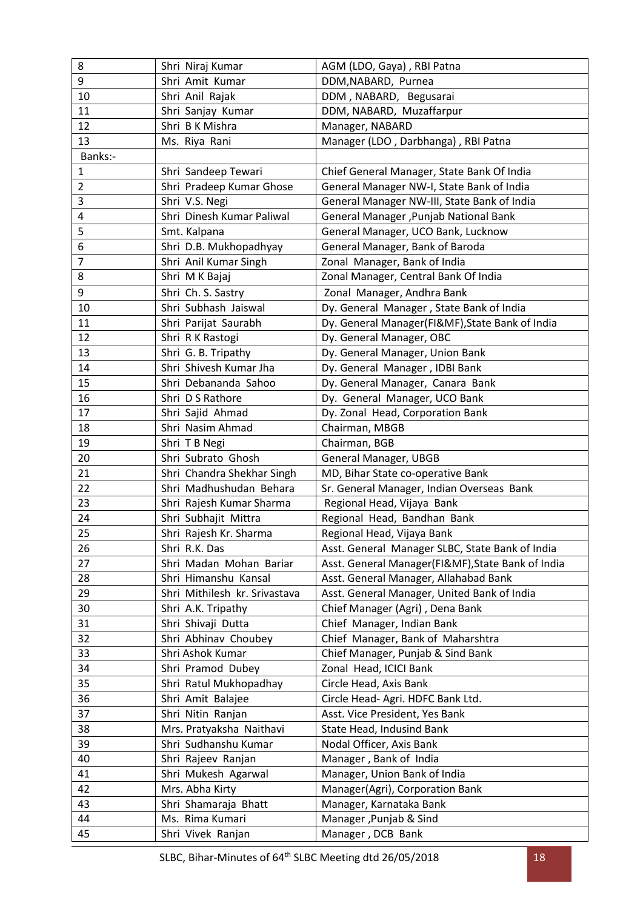| 8              | Shri Niraj Kumar                     | AGM (LDO, Gaya), RBI Patna                        |
|----------------|--------------------------------------|---------------------------------------------------|
| 9              | Shri Amit Kumar                      | DDM, NABARD, Purnea                               |
| 10             | Shri Anil Rajak                      | DDM, NABARD, Begusarai                            |
| 11             | Shri Sanjay Kumar                    | DDM, NABARD, Muzaffarpur                          |
| 12             | Shri B K Mishra                      | Manager, NABARD                                   |
| 13             | Ms. Riya Rani                        | Manager (LDO, Darbhanga), RBI Patna               |
| Banks:-        |                                      |                                                   |
| 1              | Shri Sandeep Tewari                  | Chief General Manager, State Bank Of India        |
| $\overline{2}$ | Shri Pradeep Kumar Ghose             | General Manager NW-I, State Bank of India         |
| 3              | Shri V.S. Negi                       | General Manager NW-III, State Bank of India       |
| 4              | Shri Dinesh Kumar Paliwal            | General Manager , Punjab National Bank            |
| 5              | Smt. Kalpana                         | General Manager, UCO Bank, Lucknow                |
| 6              | Shri D.B. Mukhopadhyay               | General Manager, Bank of Baroda                   |
| 7              | Shri Anil Kumar Singh                | Zonal Manager, Bank of India                      |
| 8              | Shri M K Bajaj                       | Zonal Manager, Central Bank Of India              |
| 9              | Shri Ch. S. Sastry                   | Zonal Manager, Andhra Bank                        |
| 10             | Shri Subhash Jaiswal                 | Dy. General Manager, State Bank of India          |
| 11             | Shri Parijat Saurabh                 | Dy. General Manager(FI&MF), State Bank of India   |
| 12             | Shri R K Rastogi                     | Dy. General Manager, OBC                          |
| 13             | Shri G. B. Tripathy                  | Dy. General Manager, Union Bank                   |
| 14             | Shri Shivesh Kumar Jha               | Dy. General Manager, IDBI Bank                    |
| 15             | Shri Debananda Sahoo                 | Dy. General Manager, Canara Bank                  |
| 16             | Shri D S Rathore                     | Dy. General Manager, UCO Bank                     |
| 17             | Shri Sajid Ahmad                     | Dy. Zonal Head, Corporation Bank                  |
| 18             | Shri Nasim Ahmad                     | Chairman, MBGB                                    |
| 19             | Shri T B Negi                        | Chairman, BGB                                     |
| 20             | Shri Subrato Ghosh                   | General Manager, UBGB                             |
| 21             | Shri Chandra Shekhar Singh           | MD, Bihar State co-operative Bank                 |
| 22             | Shri Madhushudan Behara              | Sr. General Manager, Indian Overseas Bank         |
| 23             | Shri Rajesh Kumar Sharma             | Regional Head, Vijaya Bank                        |
|                |                                      |                                                   |
| 24             | Shri Subhajit Mittra                 | Regional Head, Bandhan Bank                       |
| 25             | Shri Rajesh Kr. Sharma               | Regional Head, Vijaya Bank                        |
| 26             | Shri R.K. Das                        | Asst. General Manager SLBC, State Bank of India   |
| 27             | Shri Madan Mohan Bariar              | Asst. General Manager(FI&MF), State Bank of India |
| 28             | Shri Himanshu Kansal                 | Asst. General Manager, Allahabad Bank             |
| 29             | Shri Mithilesh kr. Srivastava        | Asst. General Manager, United Bank of India       |
| 30             | Shri A.K. Tripathy                   | Chief Manager (Agri), Dena Bank                   |
| 31             | Shri Shivaji Dutta                   | Chief Manager, Indian Bank                        |
| 32             | Shri Abhinav Choubey                 | Chief Manager, Bank of Maharshtra                 |
| 33             | Shri Ashok Kumar                     | Chief Manager, Punjab & Sind Bank                 |
| 34             | Shri Pramod Dubey                    | Zonal Head, ICICI Bank                            |
| 35             | Shri Ratul Mukhopadhay               | Circle Head, Axis Bank                            |
| 36             | Shri Amit Balajee                    | Circle Head- Agri. HDFC Bank Ltd.                 |
| 37             | Shri Nitin Ranjan                    | Asst. Vice President, Yes Bank                    |
| 38             | Mrs. Pratyaksha Naithavi             | State Head, Indusind Bank                         |
| 39             | Shri Sudhanshu Kumar                 | Nodal Officer, Axis Bank                          |
| 40             | Shri Rajeev Ranjan                   | Manager, Bank of India                            |
| 41             | Shri Mukesh Agarwal                  | Manager, Union Bank of India                      |
| 42             | Mrs. Abha Kirty                      | Manager(Agri), Corporation Bank                   |
| 43             | Shri Shamaraja Bhatt                 | Manager, Karnataka Bank                           |
| 44<br>45       | Ms. Rima Kumari<br>Shri Vivek Ranjan | Manager, Punjab & Sind<br>Manager, DCB Bank       |